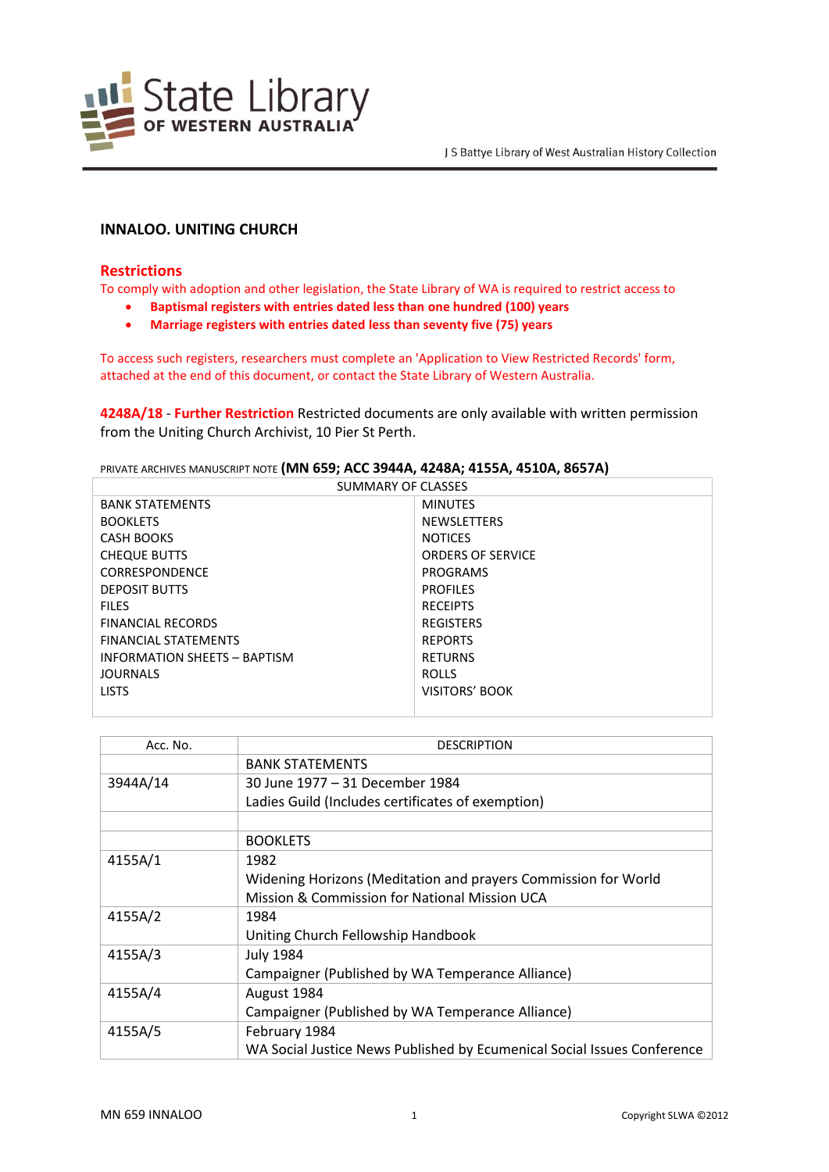

# **INNALOO. UNITING CHURCH**

#### **Restrictions**

To comply with adoption and other legislation, the State Library of WA is required to restrict access to

- **Baptismal registers with entries dated less than one hundred (100) years**
- **Marriage registers with entries dated less than seventy five (75) years**

To access such registers, researchers must complete an 'Application to View Restricted Records' form, attached at the end of this document, or contact the State Library of Western Australia.

**4248A/18** - **Further Restriction** Restricted documents are only available with written permission from the Uniting Church Archivist, 10 Pier St Perth.

PRIVATE ARCHIVES MANUSCRIPT NOTE **(MN 659; ACC 3944A, 4248A; 4155A, 4510A, 8657A)**

| SUMMARY OF CLASSES                  |                          |  |
|-------------------------------------|--------------------------|--|
| <b>BANK STATEMENTS</b>              | <b>MINUTES</b>           |  |
| <b>BOOKLETS</b>                     | <b>NEWSLETTERS</b>       |  |
| CASH BOOKS                          | <b>NOTICES</b>           |  |
| <b>CHEQUE BUTTS</b>                 | <b>ORDERS OF SERVICE</b> |  |
| <b>CORRESPONDENCE</b>               | <b>PROGRAMS</b>          |  |
| <b>DEPOSIT BUTTS</b>                | <b>PROFILES</b>          |  |
| <b>FILES</b>                        | <b>RECEIPTS</b>          |  |
| <b>FINANCIAL RECORDS</b>            | <b>REGISTERS</b>         |  |
| <b>FINANCIAL STATEMENTS</b>         | <b>REPORTS</b>           |  |
| <b>INFORMATION SHEETS - BAPTISM</b> | <b>RETURNS</b>           |  |
| <b>JOURNALS</b>                     | <b>ROLLS</b>             |  |
| <b>LISTS</b>                        | VISITORS' BOOK           |  |
|                                     |                          |  |

| Acc. No. | <b>DESCRIPTION</b>                                                      |  |
|----------|-------------------------------------------------------------------------|--|
|          | <b>BANK STATEMENTS</b>                                                  |  |
| 3944A/14 | 30 June 1977 - 31 December 1984                                         |  |
|          | Ladies Guild (Includes certificates of exemption)                       |  |
|          |                                                                         |  |
|          | <b>BOOKLETS</b>                                                         |  |
| 4155A/1  | 1982                                                                    |  |
|          | Widening Horizons (Meditation and prayers Commission for World          |  |
|          | Mission & Commission for National Mission UCA                           |  |
| 4155A/2  | 1984                                                                    |  |
|          | Uniting Church Fellowship Handbook                                      |  |
| 4155A/3  | <b>July 1984</b>                                                        |  |
|          | Campaigner (Published by WA Temperance Alliance)                        |  |
| 4155A/4  | August 1984                                                             |  |
|          | Campaigner (Published by WA Temperance Alliance)                        |  |
| 4155A/5  | February 1984                                                           |  |
|          | WA Social Justice News Published by Ecumenical Social Issues Conference |  |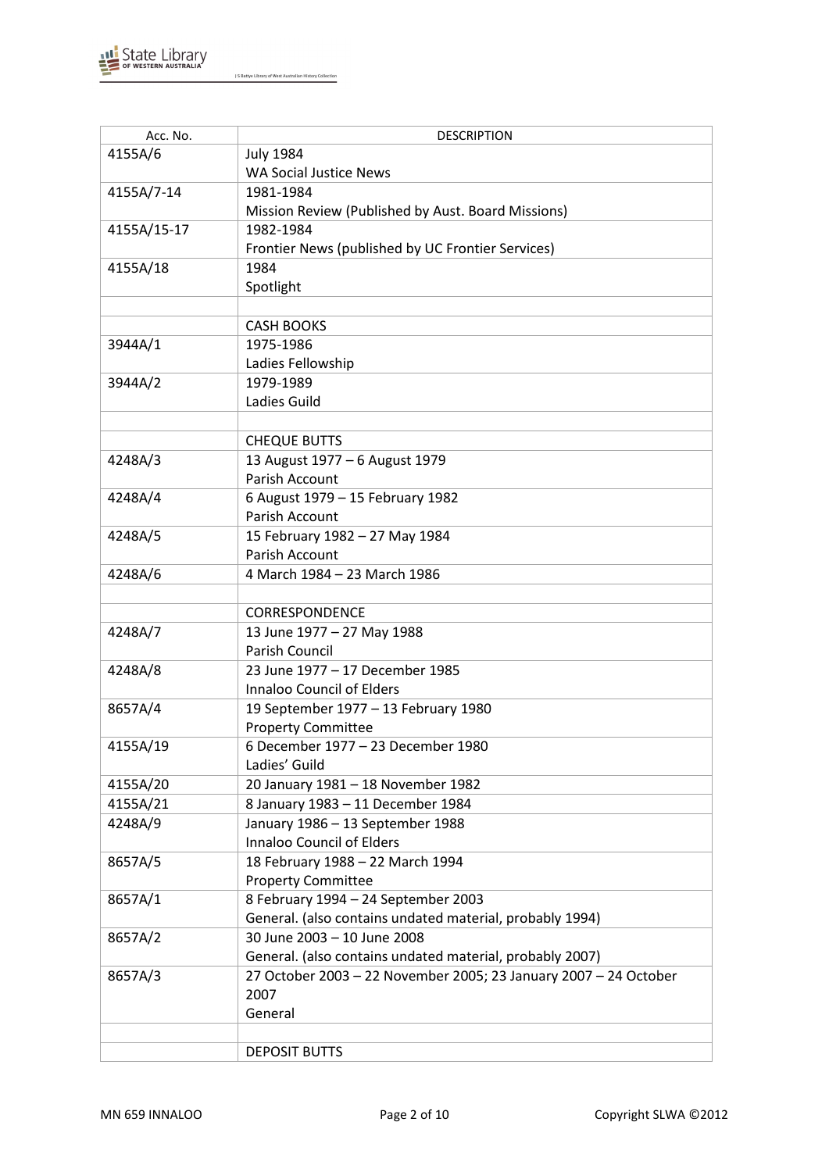

| Acc. No.    | <b>DESCRIPTION</b>                                               |  |
|-------------|------------------------------------------------------------------|--|
| 4155A/6     | <b>July 1984</b>                                                 |  |
|             | <b>WA Social Justice News</b>                                    |  |
| 4155A/7-14  | 1981-1984                                                        |  |
|             | Mission Review (Published by Aust. Board Missions)               |  |
| 4155A/15-17 | 1982-1984                                                        |  |
|             | Frontier News (published by UC Frontier Services)                |  |
| 4155A/18    | 1984                                                             |  |
|             | Spotlight                                                        |  |
|             |                                                                  |  |
|             | <b>CASH BOOKS</b>                                                |  |
| 3944A/1     | 1975-1986                                                        |  |
|             | Ladies Fellowship                                                |  |
| 3944A/2     | 1979-1989                                                        |  |
|             | Ladies Guild                                                     |  |
|             |                                                                  |  |
|             | <b>CHEQUE BUTTS</b>                                              |  |
| 4248A/3     | 13 August 1977 - 6 August 1979                                   |  |
|             | Parish Account                                                   |  |
| 4248A/4     | 6 August 1979 - 15 February 1982                                 |  |
|             | Parish Account                                                   |  |
| 4248A/5     | 15 February 1982 - 27 May 1984                                   |  |
|             | Parish Account                                                   |  |
| 4248A/6     | 4 March 1984 - 23 March 1986                                     |  |
|             |                                                                  |  |
|             | <b>CORRESPONDENCE</b>                                            |  |
| 4248A/7     | 13 June 1977 - 27 May 1988                                       |  |
|             | Parish Council                                                   |  |
| 4248A/8     | 23 June 1977 - 17 December 1985                                  |  |
|             | <b>Innaloo Council of Elders</b>                                 |  |
| 8657A/4     | 19 September 1977 - 13 February 1980                             |  |
|             | <b>Property Committee</b>                                        |  |
| 4155A/19    | 6 December 1977 - 23 December 1980                               |  |
|             | Ladies' Guild                                                    |  |
| 4155A/20    | 20 January 1981 - 18 November 1982                               |  |
| 4155A/21    | 8 January 1983 - 11 December 1984                                |  |
| 4248A/9     | January 1986 - 13 September 1988                                 |  |
|             | <b>Innaloo Council of Elders</b>                                 |  |
| 8657A/5     | 18 February 1988 - 22 March 1994                                 |  |
|             | <b>Property Committee</b>                                        |  |
| 8657A/1     | 8 February 1994 - 24 September 2003                              |  |
|             | General. (also contains undated material, probably 1994)         |  |
| 8657A/2     | 30 June 2003 - 10 June 2008                                      |  |
|             | General. (also contains undated material, probably 2007)         |  |
| 8657A/3     | 27 October 2003 - 22 November 2005; 23 January 2007 - 24 October |  |
|             | 2007                                                             |  |
|             | General                                                          |  |
|             |                                                                  |  |
|             | <b>DEPOSIT BUTTS</b>                                             |  |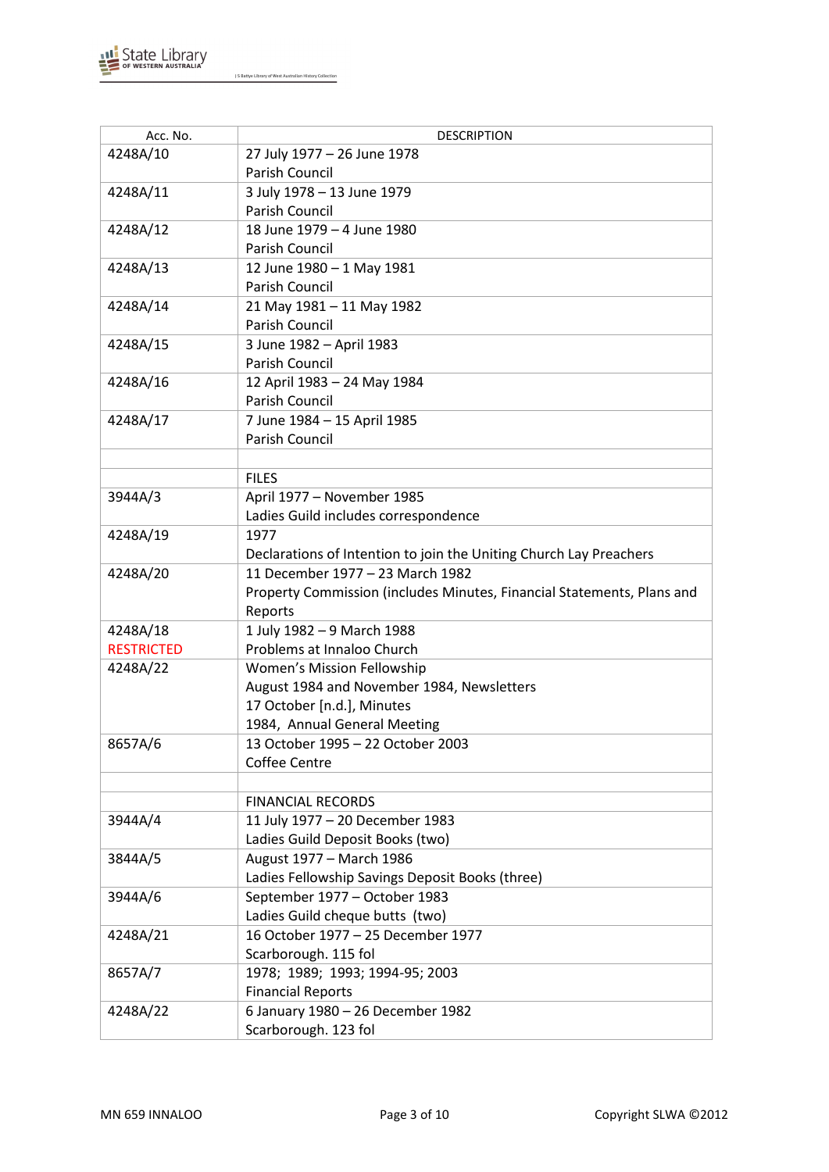

| Acc. No.          | <b>DESCRIPTION</b>                                                     |  |
|-------------------|------------------------------------------------------------------------|--|
| 4248A/10          | 27 July 1977 - 26 June 1978                                            |  |
|                   | Parish Council                                                         |  |
| 4248A/11          | 3 July 1978 - 13 June 1979                                             |  |
|                   | Parish Council                                                         |  |
| 4248A/12          | 18 June 1979 - 4 June 1980                                             |  |
|                   | Parish Council                                                         |  |
| 4248A/13          | 12 June 1980 - 1 May 1981                                              |  |
|                   | Parish Council                                                         |  |
| 4248A/14          | 21 May 1981 - 11 May 1982                                              |  |
|                   | <b>Parish Council</b>                                                  |  |
| 4248A/15          | 3 June 1982 - April 1983                                               |  |
|                   | Parish Council                                                         |  |
| 4248A/16          | 12 April 1983 - 24 May 1984                                            |  |
|                   | Parish Council                                                         |  |
| 4248A/17          | 7 June 1984 - 15 April 1985                                            |  |
|                   | Parish Council                                                         |  |
|                   |                                                                        |  |
|                   | <b>FILES</b>                                                           |  |
| 3944A/3           | April 1977 - November 1985                                             |  |
|                   | Ladies Guild includes correspondence                                   |  |
| 4248A/19          | 1977                                                                   |  |
|                   | Declarations of Intention to join the Uniting Church Lay Preachers     |  |
| 4248A/20          | 11 December 1977 - 23 March 1982                                       |  |
|                   | Property Commission (includes Minutes, Financial Statements, Plans and |  |
|                   | Reports                                                                |  |
| 4248A/18          | 1 July 1982 - 9 March 1988                                             |  |
| <b>RESTRICTED</b> | Problems at Innaloo Church                                             |  |
| 4248A/22          | Women's Mission Fellowship                                             |  |
|                   | August 1984 and November 1984, Newsletters                             |  |
|                   | 17 October [n.d.], Minutes                                             |  |
|                   | 1984, Annual General Meeting                                           |  |
| 8657A/6           | 13 October 1995 - 22 October 2003                                      |  |
|                   | Coffee Centre                                                          |  |
|                   |                                                                        |  |
|                   | <b>FINANCIAL RECORDS</b>                                               |  |
| 3944A/4           | 11 July 1977 - 20 December 1983                                        |  |
|                   | Ladies Guild Deposit Books (two)                                       |  |
| 3844A/5           | August 1977 - March 1986                                               |  |
|                   | Ladies Fellowship Savings Deposit Books (three)                        |  |
| 3944A/6           | September 1977 - October 1983                                          |  |
|                   | Ladies Guild cheque butts (two)                                        |  |
| 4248A/21          | 16 October 1977 - 25 December 1977                                     |  |
|                   | Scarborough. 115 fol                                                   |  |
| 8657A/7           | 1978; 1989; 1993; 1994-95; 2003                                        |  |
|                   | <b>Financial Reports</b>                                               |  |
| 4248A/22          | 6 January 1980 - 26 December 1982                                      |  |
|                   | Scarborough. 123 fol                                                   |  |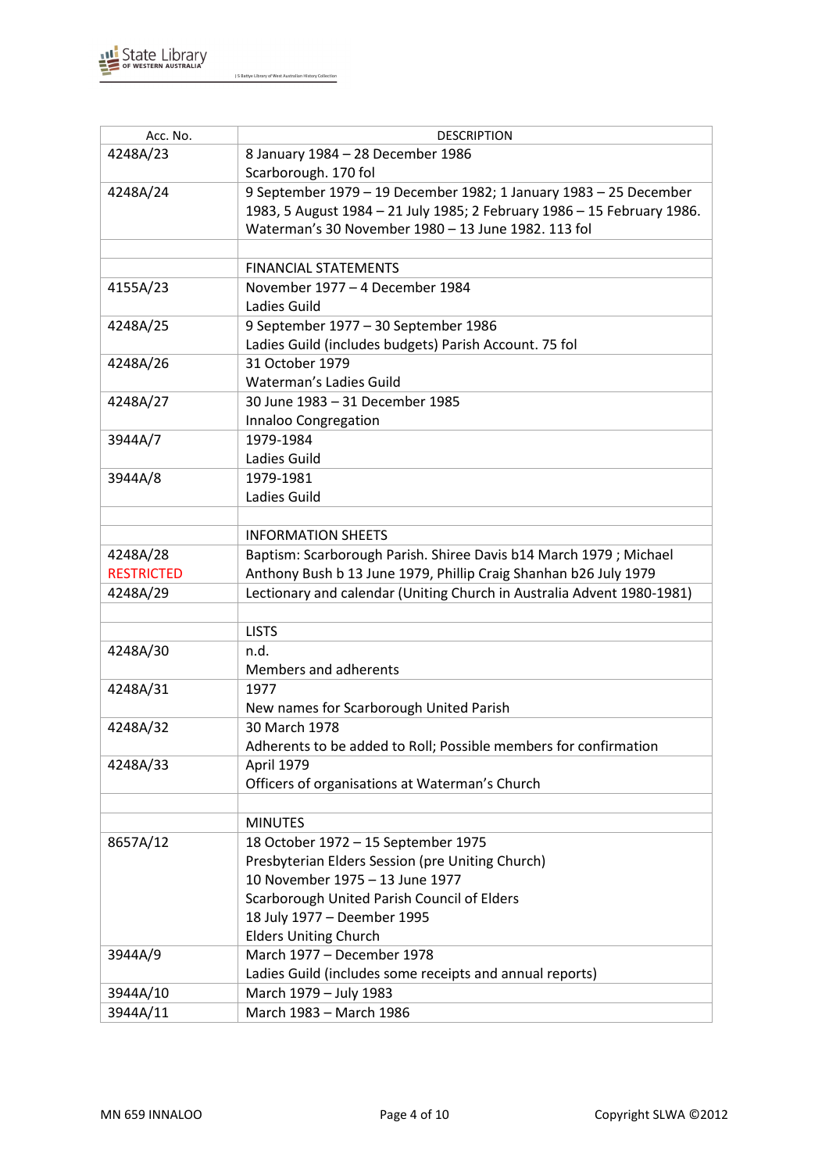

| Acc. No.          | <b>DESCRIPTION</b>                                                      |  |
|-------------------|-------------------------------------------------------------------------|--|
| 4248A/23          | 8 January 1984 - 28 December 1986                                       |  |
|                   | Scarborough. 170 fol                                                    |  |
| 4248A/24          | 9 September 1979 - 19 December 1982; 1 January 1983 - 25 December       |  |
|                   | 1983, 5 August 1984 - 21 July 1985; 2 February 1986 - 15 February 1986. |  |
|                   | Waterman's 30 November 1980 - 13 June 1982. 113 fol                     |  |
|                   |                                                                         |  |
|                   | <b>FINANCIAL STATEMENTS</b>                                             |  |
| 4155A/23          | November 1977 - 4 December 1984                                         |  |
|                   | Ladies Guild                                                            |  |
| 4248A/25          | 9 September 1977 - 30 September 1986                                    |  |
|                   | Ladies Guild (includes budgets) Parish Account. 75 fol                  |  |
| 4248A/26          | 31 October 1979                                                         |  |
|                   | Waterman's Ladies Guild                                                 |  |
| 4248A/27          | 30 June 1983 - 31 December 1985                                         |  |
|                   | Innaloo Congregation                                                    |  |
| 3944A/7           | 1979-1984                                                               |  |
|                   | Ladies Guild                                                            |  |
| 3944A/8           | 1979-1981                                                               |  |
|                   | Ladies Guild                                                            |  |
|                   |                                                                         |  |
|                   | <b>INFORMATION SHEETS</b>                                               |  |
| 4248A/28          | Baptism: Scarborough Parish. Shiree Davis b14 March 1979 ; Michael      |  |
| <b>RESTRICTED</b> | Anthony Bush b 13 June 1979, Phillip Craig Shanhan b26 July 1979        |  |
| 4248A/29          | Lectionary and calendar (Uniting Church in Australia Advent 1980-1981)  |  |
|                   |                                                                         |  |
|                   | <b>LISTS</b>                                                            |  |
| 4248A/30          | n.d.                                                                    |  |
|                   | Members and adherents                                                   |  |
| 4248A/31          | 1977                                                                    |  |
|                   | New names for Scarborough United Parish                                 |  |
| 4248A/32          | 30 March 1978                                                           |  |
|                   | Adherents to be added to Roll; Possible members for confirmation        |  |
| 4248A/33          | <b>April 1979</b>                                                       |  |
|                   | Officers of organisations at Waterman's Church                          |  |
|                   |                                                                         |  |
|                   | <b>MINUTES</b>                                                          |  |
| 8657A/12          | 18 October 1972 - 15 September 1975                                     |  |
|                   | Presbyterian Elders Session (pre Uniting Church)                        |  |
|                   | 10 November 1975 - 13 June 1977                                         |  |
|                   | Scarborough United Parish Council of Elders                             |  |
|                   | 18 July 1977 - Deember 1995                                             |  |
|                   | <b>Elders Uniting Church</b>                                            |  |
| 3944A/9           | March 1977 - December 1978                                              |  |
|                   | Ladies Guild (includes some receipts and annual reports)                |  |
| 3944A/10          | March 1979 - July 1983                                                  |  |
| 3944A/11          | March 1983 - March 1986                                                 |  |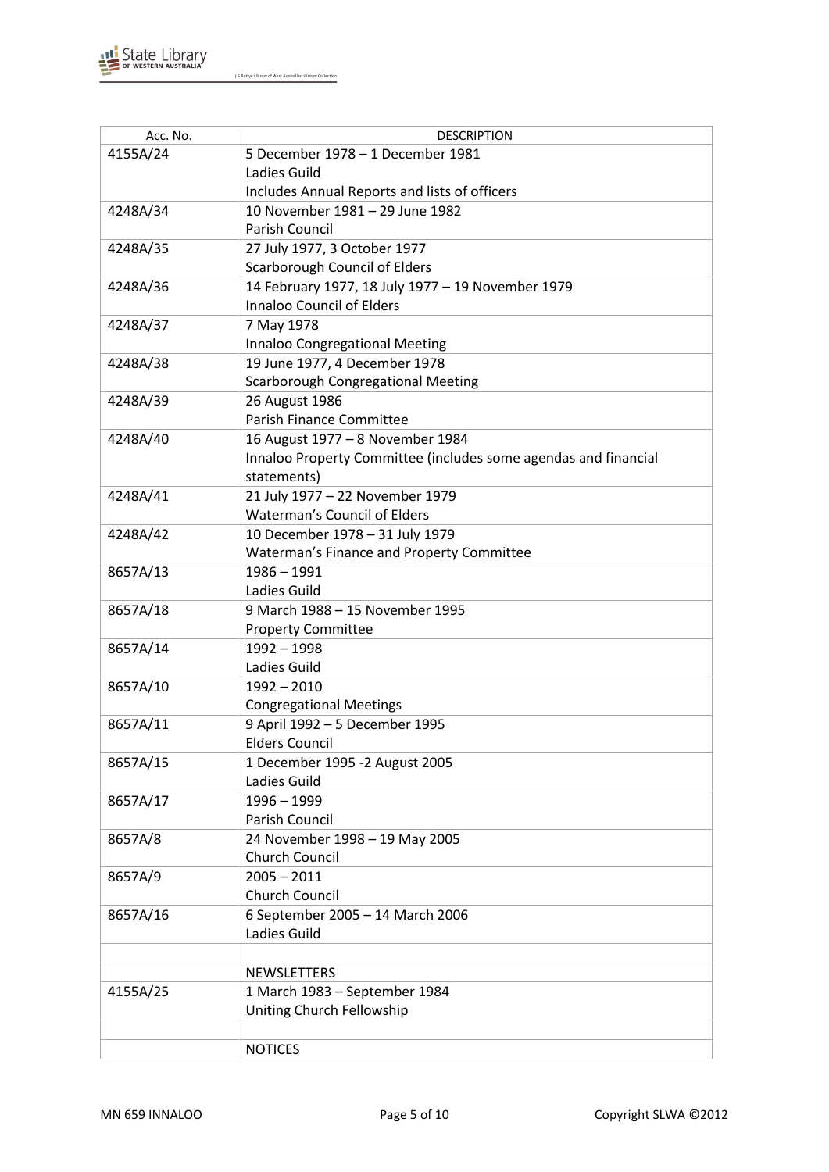

| Acc. No. | <b>DESCRIPTION</b>                                              |  |
|----------|-----------------------------------------------------------------|--|
| 4155A/24 | 5 December 1978 - 1 December 1981                               |  |
|          | Ladies Guild                                                    |  |
|          | Includes Annual Reports and lists of officers                   |  |
| 4248A/34 | 10 November 1981 - 29 June 1982                                 |  |
|          | Parish Council                                                  |  |
| 4248A/35 | 27 July 1977, 3 October 1977                                    |  |
|          | Scarborough Council of Elders                                   |  |
| 4248A/36 | 14 February 1977, 18 July 1977 - 19 November 1979               |  |
|          | <b>Innaloo Council of Elders</b>                                |  |
| 4248A/37 | 7 May 1978                                                      |  |
|          | Innaloo Congregational Meeting                                  |  |
| 4248A/38 | 19 June 1977, 4 December 1978                                   |  |
|          | Scarborough Congregational Meeting                              |  |
| 4248A/39 | 26 August 1986                                                  |  |
|          | <b>Parish Finance Committee</b>                                 |  |
| 4248A/40 | 16 August 1977 - 8 November 1984                                |  |
|          | Innaloo Property Committee (includes some agendas and financial |  |
|          | statements)                                                     |  |
| 4248A/41 | 21 July 1977 - 22 November 1979                                 |  |
|          | <b>Waterman's Council of Elders</b>                             |  |
| 4248A/42 | 10 December 1978 - 31 July 1979                                 |  |
|          | Waterman's Finance and Property Committee                       |  |
| 8657A/13 | $1986 - 1991$                                                   |  |
|          | Ladies Guild                                                    |  |
| 8657A/18 | 9 March 1988 - 15 November 1995                                 |  |
|          | <b>Property Committee</b>                                       |  |
| 8657A/14 | $1992 - 1998$                                                   |  |
|          | Ladies Guild                                                    |  |
| 8657A/10 | $1992 - 2010$                                                   |  |
|          | <b>Congregational Meetings</b>                                  |  |
| 8657A/11 | 9 April 1992 - 5 December 1995                                  |  |
|          | <b>Elders Council</b>                                           |  |
| 8657A/15 | 1 December 1995 -2 August 2005                                  |  |
|          | Ladies Guild                                                    |  |
| 8657A/17 | 1996 - 1999                                                     |  |
|          | Parish Council                                                  |  |
| 8657A/8  | 24 November 1998 - 19 May 2005                                  |  |
|          | Church Council                                                  |  |
| 8657A/9  | $2005 - 2011$                                                   |  |
|          | Church Council                                                  |  |
| 8657A/16 | 6 September 2005 - 14 March 2006                                |  |
|          | Ladies Guild                                                    |  |
|          |                                                                 |  |
|          | <b>NEWSLETTERS</b>                                              |  |
| 4155A/25 | 1 March 1983 - September 1984                                   |  |
|          | Uniting Church Fellowship                                       |  |
|          |                                                                 |  |
|          | <b>NOTICES</b>                                                  |  |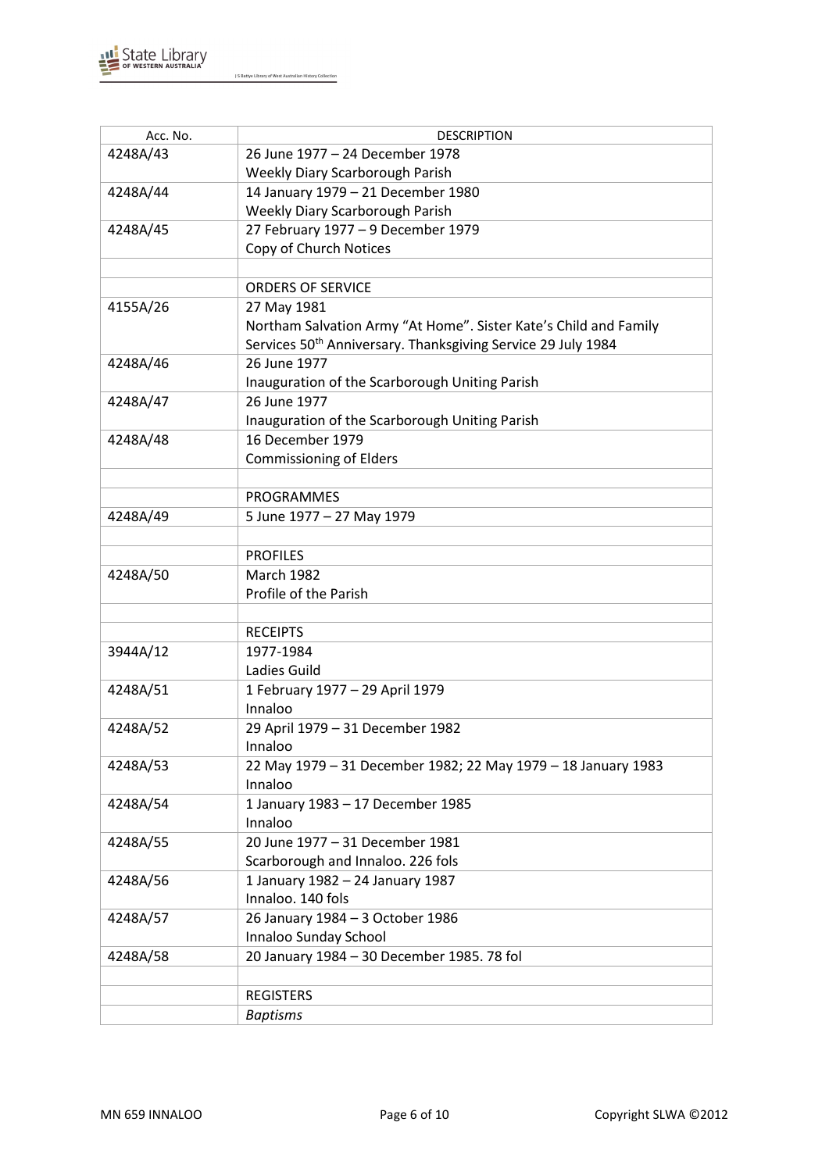

| Acc. No. | <b>DESCRIPTION</b>                                                       |  |
|----------|--------------------------------------------------------------------------|--|
| 4248A/43 | 26 June 1977 - 24 December 1978                                          |  |
|          | Weekly Diary Scarborough Parish                                          |  |
| 4248A/44 | 14 January 1979 - 21 December 1980                                       |  |
|          | Weekly Diary Scarborough Parish                                          |  |
| 4248A/45 | 27 February 1977 - 9 December 1979                                       |  |
|          | Copy of Church Notices                                                   |  |
|          |                                                                          |  |
|          | <b>ORDERS OF SERVICE</b>                                                 |  |
| 4155A/26 | 27 May 1981                                                              |  |
|          | Northam Salvation Army "At Home". Sister Kate's Child and Family         |  |
|          | Services 50 <sup>th</sup> Anniversary. Thanksgiving Service 29 July 1984 |  |
|          |                                                                          |  |
| 4248A/46 | 26 June 1977                                                             |  |
|          | Inauguration of the Scarborough Uniting Parish                           |  |
| 4248A/47 | 26 June 1977                                                             |  |
|          | Inauguration of the Scarborough Uniting Parish                           |  |
| 4248A/48 | 16 December 1979                                                         |  |
|          | <b>Commissioning of Elders</b>                                           |  |
|          |                                                                          |  |
|          | <b>PROGRAMMES</b>                                                        |  |
| 4248A/49 | 5 June 1977 - 27 May 1979                                                |  |
|          |                                                                          |  |
|          | <b>PROFILES</b>                                                          |  |
| 4248A/50 | <b>March 1982</b>                                                        |  |
|          | Profile of the Parish                                                    |  |
|          |                                                                          |  |
|          | <b>RECEIPTS</b>                                                          |  |
| 3944A/12 | 1977-1984                                                                |  |
|          | Ladies Guild                                                             |  |
| 4248A/51 | 1 February 1977 - 29 April 1979                                          |  |
|          | Innaloo                                                                  |  |
| 4248A/52 | 29 April 1979 - 31 December 1982                                         |  |
|          | Innaloo                                                                  |  |
| 4248A/53 | 22 May 1979 - 31 December 1982; 22 May 1979 - 18 January 1983            |  |
|          | Innaloo                                                                  |  |
| 4248A/54 | 1 January 1983 - 17 December 1985                                        |  |
|          | Innaloo                                                                  |  |
| 4248A/55 | 20 June 1977 - 31 December 1981                                          |  |
|          | Scarborough and Innaloo. 226 fols                                        |  |
| 4248A/56 | 1 January 1982 - 24 January 1987                                         |  |
|          | Innaloo. 140 fols                                                        |  |
|          |                                                                          |  |
| 4248A/57 | 26 January 1984 - 3 October 1986                                         |  |
|          | Innaloo Sunday School                                                    |  |
| 4248A/58 | 20 January 1984 - 30 December 1985. 78 fol                               |  |
|          |                                                                          |  |
|          | <b>REGISTERS</b>                                                         |  |
|          | <b>Baptisms</b>                                                          |  |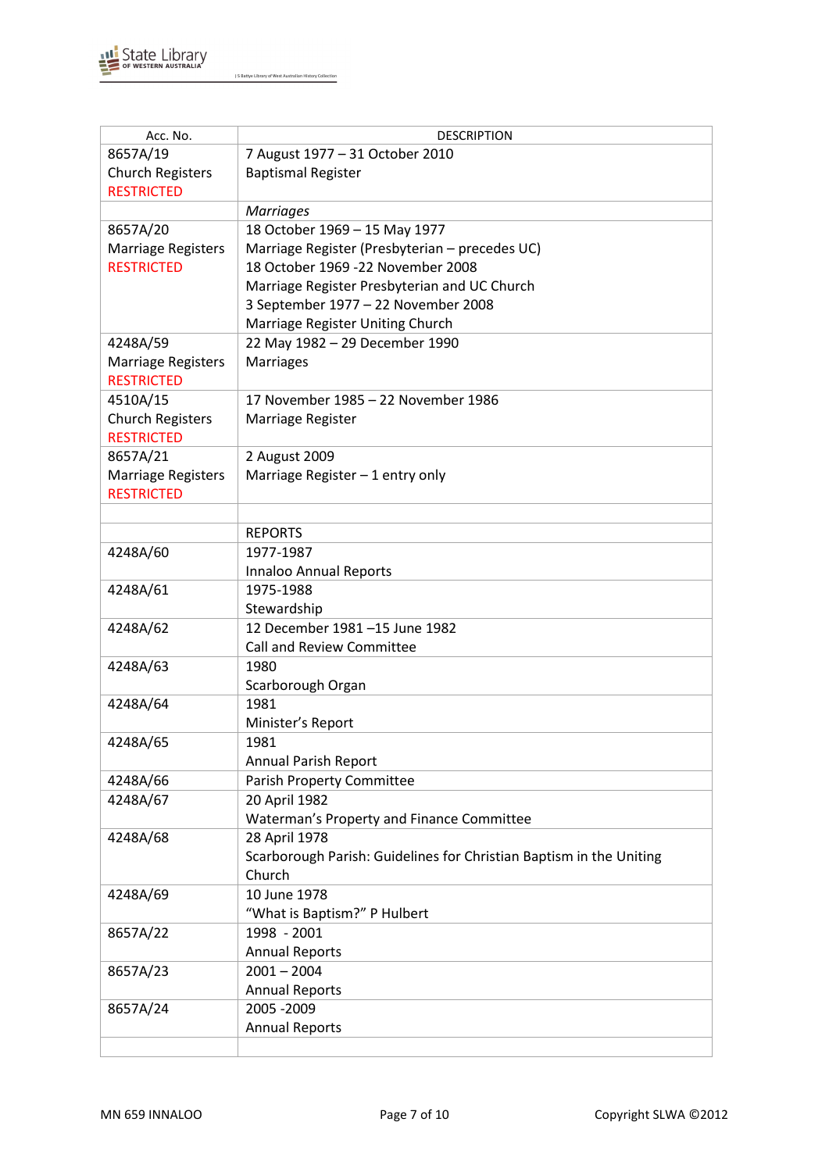

| Acc. No.                  | <b>DESCRIPTION</b>                                                  |
|---------------------------|---------------------------------------------------------------------|
| 8657A/19                  | 7 August 1977 - 31 October 2010                                     |
| <b>Church Registers</b>   | <b>Baptismal Register</b>                                           |
| <b>RESTRICTED</b>         |                                                                     |
|                           | <b>Marriages</b>                                                    |
| 8657A/20                  | 18 October 1969 - 15 May 1977                                       |
| <b>Marriage Registers</b> | Marriage Register (Presbyterian - precedes UC)                      |
| <b>RESTRICTED</b>         | 18 October 1969 -22 November 2008                                   |
|                           | Marriage Register Presbyterian and UC Church                        |
|                           | 3 September 1977 - 22 November 2008                                 |
|                           | Marriage Register Uniting Church                                    |
| 4248A/59                  | 22 May 1982 - 29 December 1990                                      |
| <b>Marriage Registers</b> | <b>Marriages</b>                                                    |
| <b>RESTRICTED</b>         |                                                                     |
| 4510A/15                  | 17 November 1985 - 22 November 1986                                 |
| <b>Church Registers</b>   | Marriage Register                                                   |
| <b>RESTRICTED</b>         |                                                                     |
| 8657A/21                  | 2 August 2009                                                       |
| <b>Marriage Registers</b> | Marriage Register $-1$ entry only                                   |
| <b>RESTRICTED</b>         |                                                                     |
|                           |                                                                     |
|                           | <b>REPORTS</b>                                                      |
| 4248A/60                  | 1977-1987                                                           |
| 4248A/61                  | Innaloo Annual Reports<br>1975-1988                                 |
|                           | Stewardship                                                         |
| 4248A/62                  | 12 December 1981-15 June 1982                                       |
|                           | <b>Call and Review Committee</b>                                    |
| 4248A/63                  | 1980                                                                |
|                           | Scarborough Organ                                                   |
| 4248A/64                  | 1981                                                                |
|                           | Minister's Report                                                   |
| 4248A/65                  | 1981                                                                |
|                           | <b>Annual Parish Report</b>                                         |
| 4248A/66                  | <b>Parish Property Committee</b>                                    |
| 4248A/67                  | 20 April 1982                                                       |
|                           | Waterman's Property and Finance Committee                           |
| 4248A/68                  | 28 April 1978                                                       |
|                           | Scarborough Parish: Guidelines for Christian Baptism in the Uniting |
|                           | Church                                                              |
| 4248A/69                  | 10 June 1978                                                        |
|                           | "What is Baptism?" P Hulbert                                        |
| 8657A/22                  | 1998 - 2001                                                         |
|                           | <b>Annual Reports</b>                                               |
| 8657A/23                  | $2001 - 2004$                                                       |
|                           | <b>Annual Reports</b>                                               |
| 8657A/24                  | 2005 - 2009                                                         |
|                           | <b>Annual Reports</b>                                               |
|                           |                                                                     |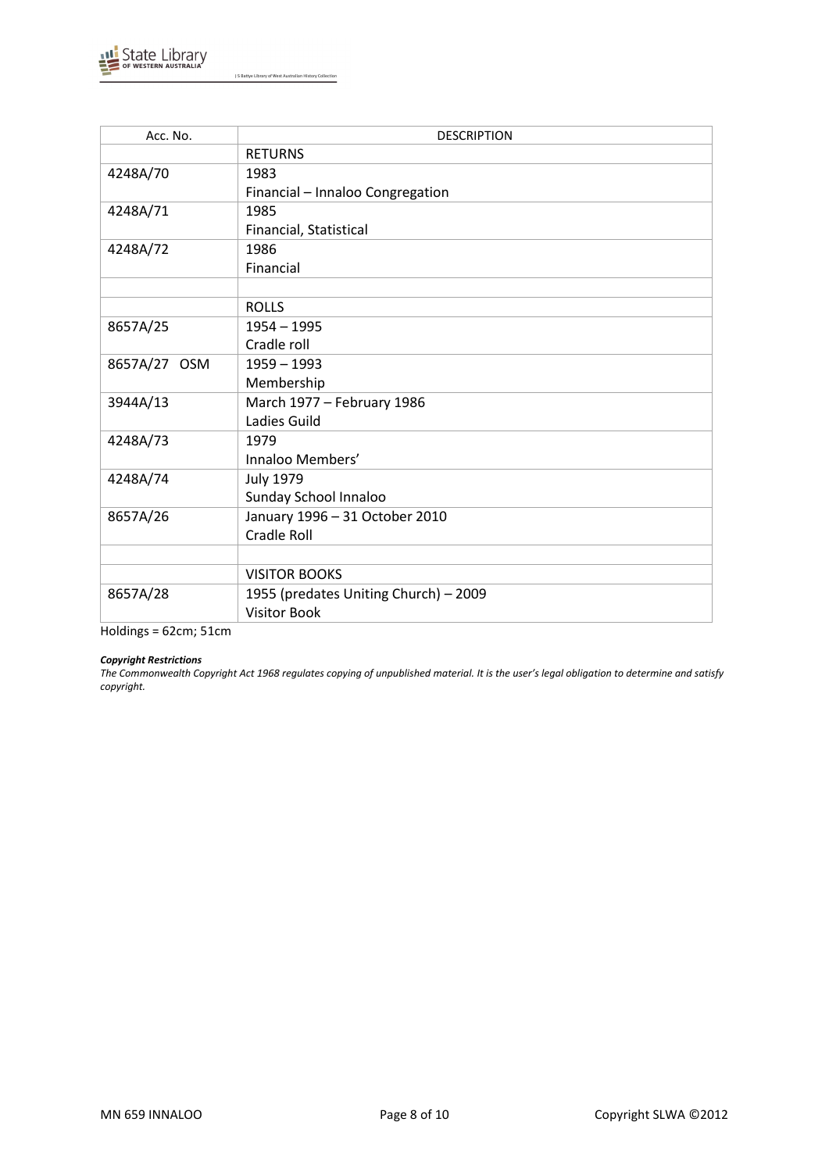

| Acc. No.     | <b>DESCRIPTION</b>                    |  |
|--------------|---------------------------------------|--|
|              | <b>RETURNS</b>                        |  |
| 4248A/70     | 1983                                  |  |
|              | Financial - Innaloo Congregation      |  |
| 4248A/71     | 1985                                  |  |
|              | Financial, Statistical                |  |
| 4248A/72     | 1986                                  |  |
|              | Financial                             |  |
|              |                                       |  |
|              | <b>ROLLS</b>                          |  |
| 8657A/25     | $1954 - 1995$                         |  |
|              | Cradle roll                           |  |
| 8657A/27 OSM | $1959 - 1993$                         |  |
|              | Membership                            |  |
| 3944A/13     | March 1977 - February 1986            |  |
|              | Ladies Guild                          |  |
| 4248A/73     | 1979                                  |  |
|              | Innaloo Members'                      |  |
| 4248A/74     | <b>July 1979</b>                      |  |
|              | Sunday School Innaloo                 |  |
| 8657A/26     | January 1996 - 31 October 2010        |  |
|              | <b>Cradle Roll</b>                    |  |
|              |                                       |  |
|              | <b>VISITOR BOOKS</b>                  |  |
| 8657A/28     | 1955 (predates Uniting Church) - 2009 |  |
|              | <b>Visitor Book</b>                   |  |

Holdings = 62cm; 51cm

#### *Copyright Restrictions*

*The Commonwealth Copyright Act 1968 regulates copying of unpublished material. It is the user's legal obligation to determine and satisfy copyright.*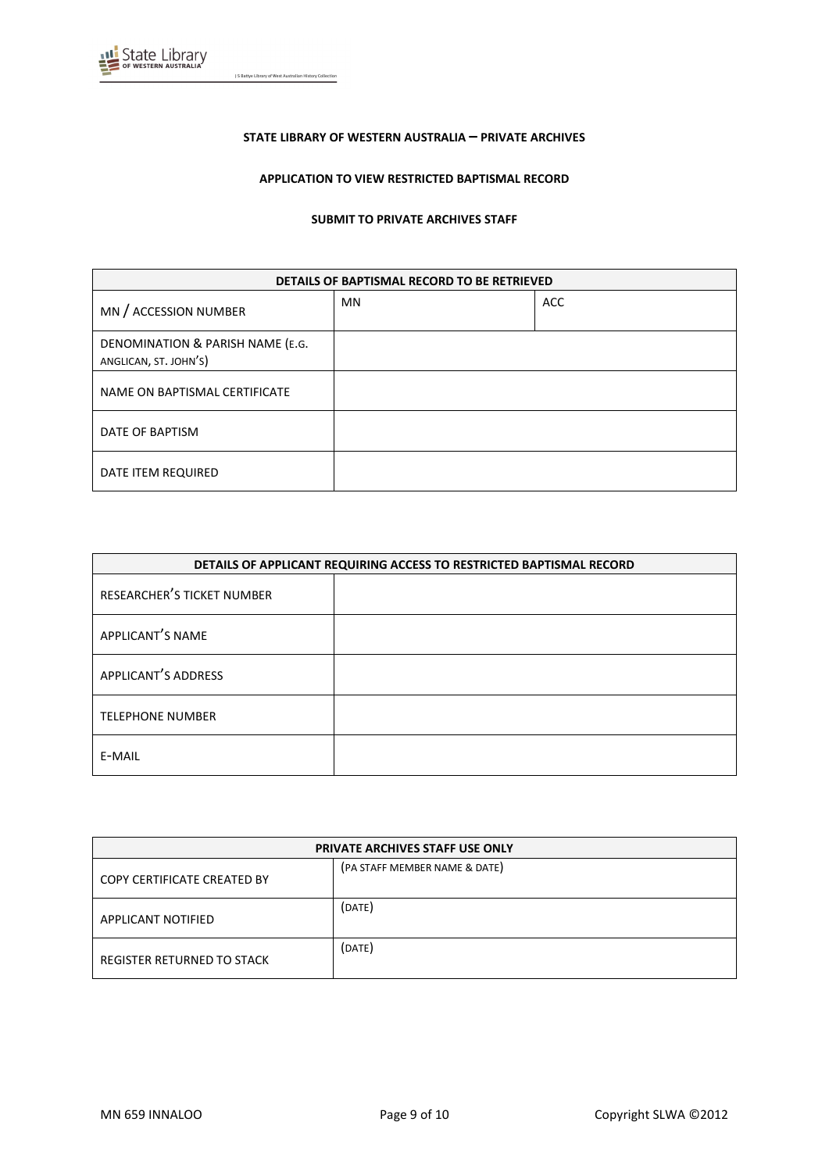

#### **STATE LIBRARY OF WESTERN AUSTRALIA – PRIVATE ARCHIVES**

## **APPLICATION TO VIEW RESTRICTED BAPTISMAL RECORD**

#### **SUBMIT TO PRIVATE ARCHIVES STAFF**

| DETAILS OF BAPTISMAL RECORD TO BE RETRIEVED               |           |            |
|-----------------------------------------------------------|-----------|------------|
| MN / ACCESSION NUMBER                                     | <b>MN</b> | <b>ACC</b> |
| DENOMINATION & PARISH NAME (E.G.<br>ANGLICAN, ST. JOHN'S) |           |            |
| NAME ON BAPTISMAL CERTIFICATE                             |           |            |
| DATE OF BAPTISM                                           |           |            |
| DATE ITEM REQUIRED                                        |           |            |

| DETAILS OF APPLICANT REQUIRING ACCESS TO RESTRICTED BAPTISMAL RECORD |  |
|----------------------------------------------------------------------|--|
| RESEARCHER'S TICKET NUMBER                                           |  |
| APPLICANT'S NAME                                                     |  |
| APPLICANT'S ADDRESS                                                  |  |
| <b>TELEPHONE NUMBER</b>                                              |  |
| E-MAIL                                                               |  |

| <b>PRIVATE ARCHIVES STAFF USE ONLY</b> |                               |  |
|----------------------------------------|-------------------------------|--|
| <b>COPY CERTIFICATE CREATED BY</b>     | (PA STAFF MEMBER NAME & DATE) |  |
| APPLICANT NOTIFIED                     | (DATE)                        |  |
| REGISTER RETURNED TO STACK             | (DATE)                        |  |